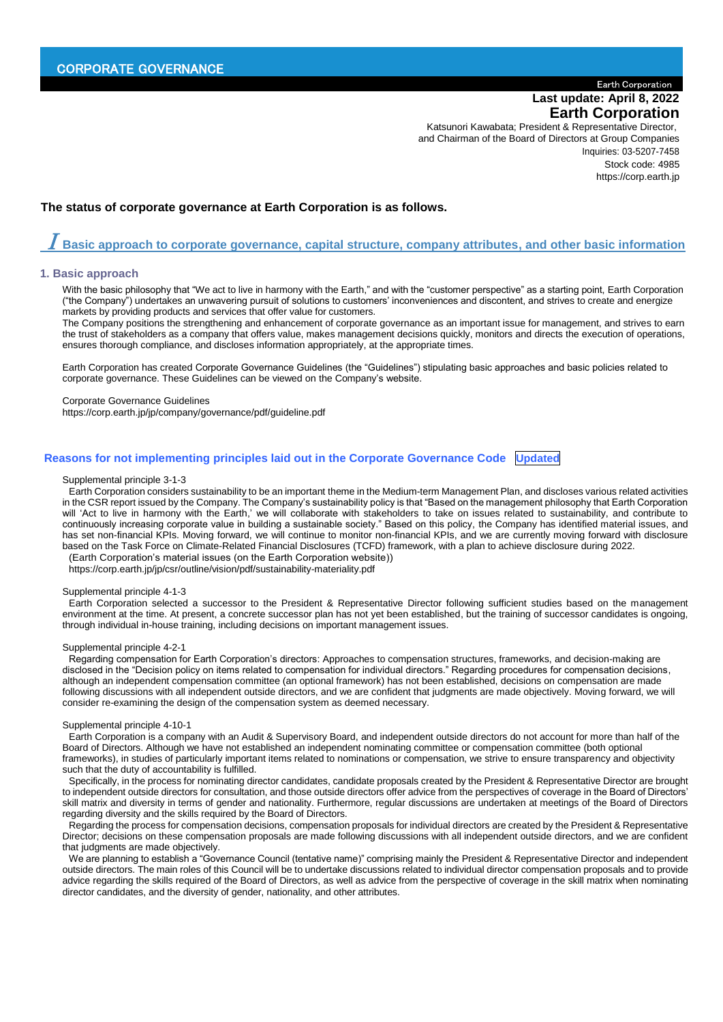# Earth Corporation **Last update: April 8, 2022 Earth Corporation**

Katsunori Kawabata; President & Representative Director, and Chairman of the Board of Directors at Group Companies Inquiries: 03-5207-7458 Stock code: 4985 https://corp.earth.jp

# **The status of corporate governance at Earth Corporation is as follows.**

# $\boldsymbol{I}$  Basic approach to corporate gov<u>ernance, capital structure, company attributes, and other basic information</u>

#### **1. Basic approach**

With the basic philosophy that "We act to live in harmony with the Earth," and with the "customer perspective" as a starting point, Earth Corporation ("the Company") undertakes an unwavering pursuit of solutions to customers' inconveniences and discontent, and strives to create and energize markets by providing products and services that offer value for customers.

The Company positions the strengthening and enhancement of corporate governance as an important issue for management, and strives to earn the trust of stakeholders as a company that offers value, makes management decisions quickly, monitors and directs the execution of operations, ensures thorough compliance, and discloses information appropriately, at the appropriate times.

Earth Corporation has created Corporate Governance Guidelines (the "Guidelines") stipulating basic approaches and basic policies related to corporate governance. These Guidelines can be viewed on the Company's website.

Corporate Governance Guidelines

https://corp.earth.jp/jp/company/governance/pdf/guideline.pdf

# **Reasons for not implementing principles laid out in the Corporate Governance Code Updated**

#### Supplemental principle 3-1-3

Earth Corporation considers sustainability to be an important theme in the Medium-term Management Plan, and discloses various related activities in the CSR report issued by the Company. The Company's sustainability policy is that "Based on the management philosophy that Earth Corporation will 'Act to live in harmony with the Earth,' we will collaborate with stakeholders to take on issues related to sustainability, and contribute to continuously increasing corporate value in building a sustainable society." Based on this policy, the Company has identified material issues, and has set non-financial KPIs. Moving forward, we will continue to monitor non-financial KPIs, and we are currently moving forward with disclosure based on the Task Force on Climate-Related Financial Disclosures (TCFD) framework, with a plan to achieve disclosure during 2022.

(Earth Corporation's material issues (on the Earth Corporation website)) https://corp.earth.jp/jp/csr/outline/vision/pdf/sustainability-materiality.pdf

#### Supplemental principle 4-1-3

Earth Corporation selected a successor to the President & Representative Director following sufficient studies based on the management environment at the time. At present, a concrete successor plan has not yet been established, but the training of successor candidates is ongoing, through individual in-house training, including decisions on important management issues.

#### Supplemental principle 4-2-1

Regarding compensation for Earth Corporation's directors: Approaches to compensation structures, frameworks, and decision-making are disclosed in the "Decision policy on items related to compensation for individual directors." Regarding procedures for compensation decisions, although an independent compensation committee (an optional framework) has not been established, decisions on compensation are made following discussions with all independent outside directors, and we are confident that judgments are made objectively. Moving forward, we will consider re-examining the design of the compensation system as deemed necessary.

#### Supplemental principle 4-10-1

Earth Corporation is a company with an Audit & Supervisory Board, and independent outside directors do not account for more than half of the Board of Directors. Although we have not established an independent nominating committee or compensation committee (both optional frameworks), in studies of particularly important items related to nominations or compensation, we strive to ensure transparency and objectivity such that the duty of accountability is fulfilled.

Specifically, in the process for nominating director candidates, candidate proposals created by the President & Representative Director are brought to independent outside directors for consultation, and those outside directors offer advice from the perspectives of coverage in the Board of Directors' skill matrix and diversity in terms of gender and nationality. Furthermore, regular discussions are undertaken at meetings of the Board of Directors regarding diversity and the skills required by the Board of Directors.

Regarding the process for compensation decisions, compensation proposals for individual directors are created by the President & Representative Director; decisions on these compensation proposals are made following discussions with all independent outside directors, and we are confident that judgments are made objectively.

We are planning to establish a "Governance Council (tentative name)" comprising mainly the President & Representative Director and independent outside directors. The main roles of this Council will be to undertake discussions related to individual director compensation proposals and to provide advice regarding the skills required of the Board of Directors, as well as advice from the perspective of coverage in the skill matrix when nominating director candidates, and the diversity of gender, nationality, and other attributes.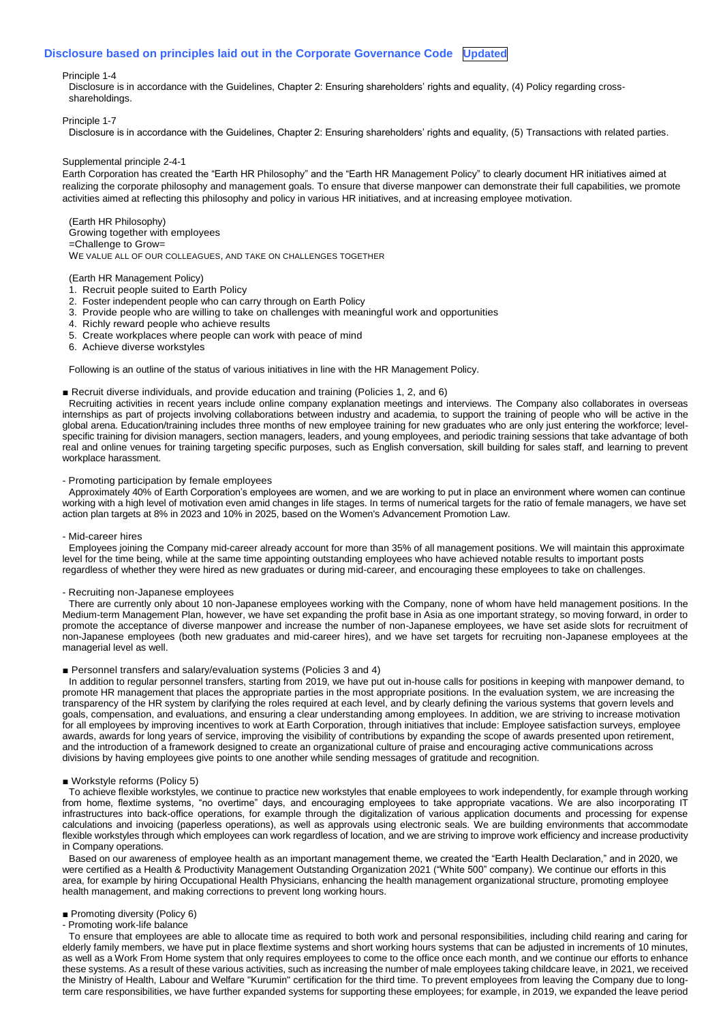#### **Disclosure based on principles laid out in the Corporate Governance Code Updated**

#### Principle 1-4

Disclosure is in accordance with the Guidelines, Chapter 2: Ensuring shareholders' rights and equality, (4) Policy regarding crossshareholdings.

#### Principle 1-7

Disclosure is in accordance with the Guidelines, Chapter 2: Ensuring shareholders' rights and equality, (5) Transactions with related parties.

#### Supplemental principle 2-4-1

Earth Corporation has created the "Earth HR Philosophy" and the "Earth HR Management Policy" to clearly document HR initiatives aimed at realizing the corporate philosophy and management goals. To ensure that diverse manpower can demonstrate their full capabilities, we promote activities aimed at reflecting this philosophy and policy in various HR initiatives, and at increasing employee motivation.

#### (Earth HR Philosophy) Growing together with employees =Challenge to Grow= WE VALUE ALL OF OUR COLLEAGUES, AND TAKE ON CHALLENGES TOGETHER

#### (Earth HR Management Policy)

- 1. Recruit people suited to Earth Policy
- 2. Foster independent people who can carry through on Earth Policy
- 3. Provide people who are willing to take on challenges with meaningful work and opportunities
- 4. Richly reward people who achieve results
- 5. Create workplaces where people can work with peace of mind
- 6. Achieve diverse workstyles

Following is an outline of the status of various initiatives in line with the HR Management Policy.

## ■ Recruit diverse individuals, and provide education and training (Policies 1, 2, and 6)

Recruiting activities in recent years include online company explanation meetings and interviews. The Company also collaborates in overseas internships as part of projects involving collaborations between industry and academia, to support the training of people who will be active in the global arena. Education/training includes three months of new employee training for new graduates who are only just entering the workforce; levelspecific training for division managers, section managers, leaders, and young employees, and periodic training sessions that take advantage of both real and online venues for training targeting specific purposes, such as English conversation, skill building for sales staff, and learning to prevent workplace harassment.

#### - Promoting participation by female employees

Approximately 40% of Earth Corporation's employees are women, and we are working to put in place an environment where women can continue working with a high level of motivation even amid changes in life stages. In terms of numerical targets for the ratio of female managers, we have set action plan targets at 8% in 2023 and 10% in 2025, based on the Women's Advancement Promotion Law.

#### - Mid-career hires

Employees joining the Company mid-career already account for more than 35% of all management positions. We will maintain this approximate level for the time being, while at the same time appointing outstanding employees who have achieved notable results to important posts regardless of whether they were hired as new graduates or during mid-career, and encouraging these employees to take on challenges.

#### - Recruiting non-Japanese employees

There are currently only about 10 non-Japanese employees working with the Company, none of whom have held management positions. In the Medium-term Management Plan, however, we have set expanding the profit base in Asia as one important strategy, so moving forward, in order to promote the acceptance of diverse manpower and increase the number of non-Japanese employees, we have set aside slots for recruitment of non-Japanese employees (both new graduates and mid-career hires), and we have set targets for recruiting non-Japanese employees at the managerial level as well.

# ■ Personnel transfers and salary/evaluation systems (Policies 3 and 4)

In addition to regular personnel transfers, starting from 2019, we have put out in-house calls for positions in keeping with manpower demand, to promote HR management that places the appropriate parties in the most appropriate positions. In the evaluation system, we are increasing the transparency of the HR system by clarifying the roles required at each level, and by clearly defining the various systems that govern levels and goals, compensation, and evaluations, and ensuring a clear understanding among employees. In addition, we are striving to increase motivation for all employees by improving incentives to work at Earth Corporation, through initiatives that include: Employee satisfaction surveys, employee awards, awards for long years of service, improving the visibility of contributions by expanding the scope of awards presented upon retirement, and the introduction of a framework designed to create an organizational culture of praise and encouraging active communications across divisions by having employees give points to one another while sending messages of gratitude and recognition.

#### ■ Workstyle reforms (Policy 5)

To achieve flexible workstyles, we continue to practice new workstyles that enable employees to work independently, for example through working from home, flextime systems, "no overtime" days, and encouraging employees to take appropriate vacations. We are also incorporating IT infrastructures into back-office operations, for example through the digitalization of various application documents and processing for expense calculations and invoicing (paperless operations), as well as approvals using electronic seals. We are building environments that accommodate flexible workstyles through which employees can work regardless of location, and we are striving to improve work efficiency and increase productivity in Company operations.

Based on our awareness of employee health as an important management theme, we created the "Earth Health Declaration," and in 2020, we were certified as a Health & Productivity Management Outstanding Organization 2021 ("White 500" company). We continue our efforts in this area, for example by hiring Occupational Health Physicians, enhancing the health management organizational structure, promoting employee health management, and making corrections to prevent long working hours.

#### ■ Promoting diversity (Policy 6)

- Promoting work-life balance

To ensure that employees are able to allocate time as required to both work and personal responsibilities, including child rearing and caring for elderly family members, we have put in place flextime systems and short working hours systems that can be adjusted in increments of 10 minutes, as well as a Work From Home system that only requires employees to come to the office once each month, and we continue our efforts to enhance these systems. As a result of these various activities, such as increasing the number of male employees taking childcare leave, in 2021, we received the Ministry of Health, Labour and Welfare "Kurumin" certification for the third time. To prevent employees from leaving the Company due to longterm care responsibilities, we have further expanded systems for supporting these employees; for example, in 2019, we expanded the leave period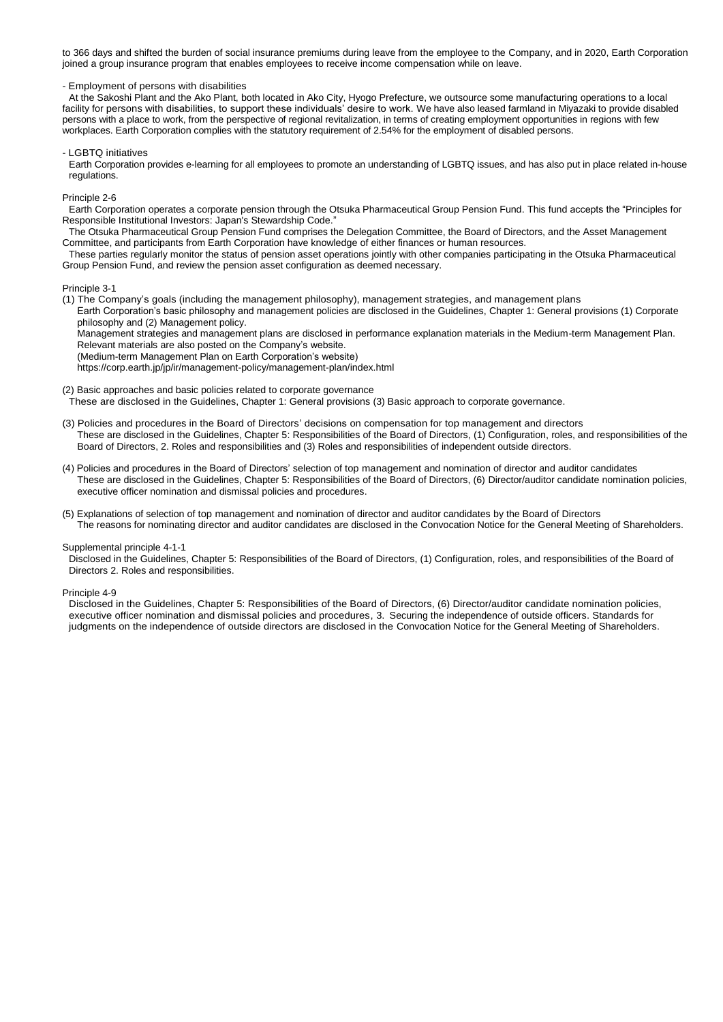to 366 days and shifted the burden of social insurance premiums during leave from the employee to the Company, and in 2020, Earth Corporation joined a group insurance program that enables employees to receive income compensation while on leave.

- Employment of persons with disabilities

At the Sakoshi Plant and the Ako Plant, both located in Ako City, Hyogo Prefecture, we outsource some manufacturing operations to a local facility for persons with disabilities, to support these individuals' desire to work. We have also leased farmland in Miyazaki to provide disabled persons with a place to work, from the perspective of regional revitalization, in terms of creating employment opportunities in regions with few workplaces. Earth Corporation complies with the statutory requirement of 2.54% for the employment of disabled persons.

- LGBTQ initiatives

Earth Corporation provides e-learning for all employees to promote an understanding of LGBTQ issues, and has also put in place related in-house regulations.

Principle 2-6

Earth Corporation operates a corporate pension through the Otsuka Pharmaceutical Group Pension Fund. This fund accepts the "Principles for Responsible Institutional Investors: Japan's Stewardship Code."

The Otsuka Pharmaceutical Group Pension Fund comprises the Delegation Committee, the Board of Directors, and the Asset Management Committee, and participants from Earth Corporation have knowledge of either finances or human resources.

These parties regularly monitor the status of pension asset operations jointly with other companies participating in the Otsuka Pharmaceutical Group Pension Fund, and review the pension asset configuration as deemed necessary.

#### Principle 3-1

(1) The Company's goals (including the management philosophy), management strategies, and management plans Earth Corporation's basic philosophy and management policies are disclosed in the Guidelines, Chapter 1: General provisions (1) Corporate philosophy and (2) Management policy.

Management strategies and management plans are disclosed in performance explanation materials in the Medium-term Management Plan. Relevant materials are also posted on the Company's website.

(Medium-term Management Plan on Earth Corporation's website)

https://corp.earth.jp/jp/ir/management-policy/management-plan/index.html

(2) Basic approaches and basic policies related to corporate governance

These are disclosed in the Guidelines, Chapter 1: General provisions (3) Basic approach to corporate governance.

- (3) Policies and procedures in the Board of Directors' decisions on compensation for top management and directors These are disclosed in the Guidelines, Chapter 5: Responsibilities of the Board of Directors, (1) Configuration, roles, and responsibilities of the Board of Directors, 2. Roles and responsibilities and (3) Roles and responsibilities of independent outside directors.
- (4) Policies and procedures in the Board of Directors' selection of top management and nomination of director and auditor candidates These are disclosed in the Guidelines, Chapter 5: Responsibilities of the Board of Directors, (6) Director/auditor candidate nomination policies, executive officer nomination and dismissal policies and procedures.
- (5) Explanations of selection of top management and nomination of director and auditor candidates by the Board of Directors The reasons for nominating director and auditor candidates are disclosed in the Convocation Notice for the General Meeting of Shareholders.

#### Supplemental principle 4-1-1

Disclosed in the Guidelines, Chapter 5: Responsibilities of the Board of Directors, (1) Configuration, roles, and responsibilities of the Board of Directors 2. Roles and responsibilities.

#### Principle 4-9

Disclosed in the Guidelines, Chapter 5: Responsibilities of the Board of Directors, (6) Director/auditor candidate nomination policies, executive officer nomination and dismissal policies and procedures, 3. Securing the independence of outside officers. Standards for judgments on the independence of outside directors are disclosed in the Convocation Notice for the General Meeting of Shareholders.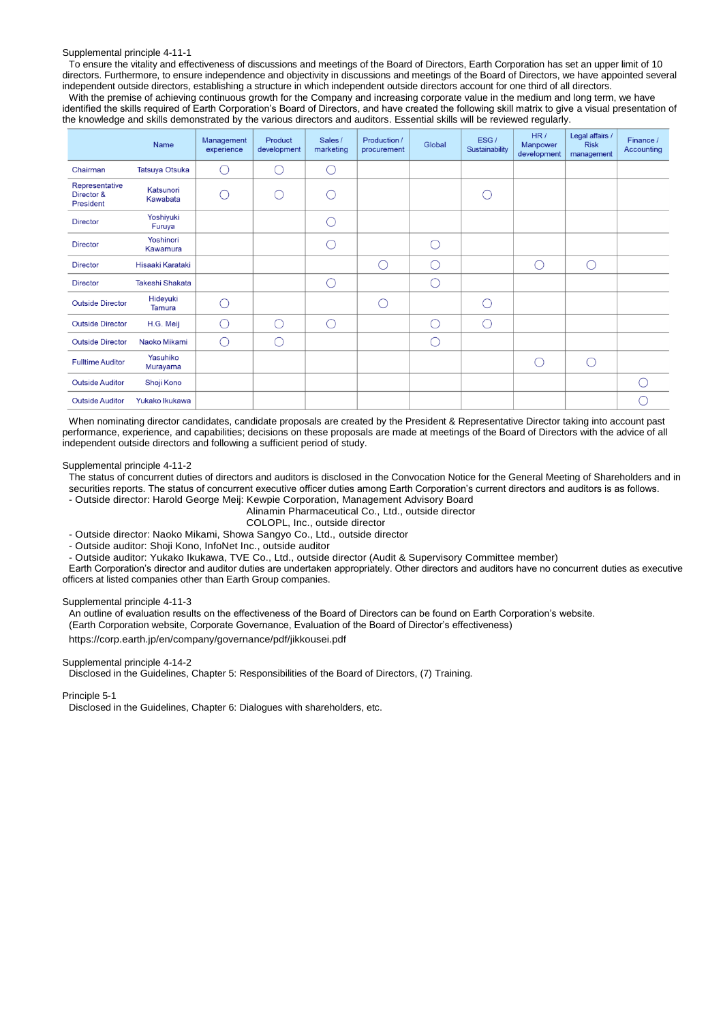#### Supplemental principle 4-11-1

To ensure the vitality and effectiveness of discussions and meetings of the Board of Directors, Earth Corporation has set an upper limit of 10 directors. Furthermore, to ensure independence and objectivity in discussions and meetings of the Board of Directors, we have appointed several independent outside directors, establishing a structure in which independent outside directors account for one third of all directors.

With the premise of achieving continuous growth for the Company and increasing corporate value in the medium and long term, we have identified the skills required of Earth Corporation's Board of Directors, and have created the following skill matrix to give a visual presentation of the knowledge and skills demonstrated by the various directors and auditors. Essential skills will be reviewed regularly.

|                                           | Name                   | Management<br>experience | Product<br>development | Sales /<br>marketing | Production /<br>procurement | Global | ESG/<br>Sustainability | HR/<br>Manpower<br>development | Legal affairs /<br><b>Risk</b><br>management | Finance /<br>Accounting |
|-------------------------------------------|------------------------|--------------------------|------------------------|----------------------|-----------------------------|--------|------------------------|--------------------------------|----------------------------------------------|-------------------------|
| Chairman                                  | <b>Tatsuya Otsuka</b>  | $\bigcirc$               | ∩                      | $\bigcirc$           |                             |        |                        |                                |                                              |                         |
| Representative<br>Director &<br>President | Katsunori<br>Kawabata  | ⌒                        | $\bigcirc$             | C                    |                             |        | О                      |                                |                                              |                         |
| <b>Director</b>                           | Yoshiyuki<br>Furuya    |                          |                        | C                    |                             |        |                        |                                |                                              |                         |
| <b>Director</b>                           | Yoshinori<br>Kawamura  |                          |                        | C                    |                             | ⊂      |                        |                                |                                              |                         |
| <b>Director</b>                           | Hisaaki Karataki       |                          |                        |                      | ∩                           | ◯      |                        | O                              | $\bigcirc$                                   |                         |
| <b>Director</b>                           | <b>Takeshi Shakata</b> |                          |                        | C                    |                             | C      |                        |                                |                                              |                         |
| <b>Outside Director</b>                   | Hideyuki<br>Tamura     | ⌒                        |                        |                      | ∩                           |        | ∩                      |                                |                                              |                         |
| <b>Outside Director</b>                   | H.G. Meij              | ∩                        | ∩                      | $\bigcap$            |                             | $\cap$ | $\bigcirc$             |                                |                                              |                         |
| <b>Outside Director</b>                   | Naoko Mikami           | ∩                        | O                      |                      |                             | C      |                        |                                |                                              |                         |
| <b>Fulltime Auditor</b>                   | Yasuhiko<br>Murayama   |                          |                        |                      |                             |        |                        | ◯                              | ∩                                            |                         |
| <b>Outside Auditor</b>                    | Shoji Kono             |                          |                        |                      |                             |        |                        |                                |                                              | $(\ )$                  |
| <b>Outside Auditor</b>                    | Yukako Ikukawa         |                          |                        |                      |                             |        |                        |                                |                                              |                         |

When nominating director candidates, candidate proposals are created by the President & Representative Director taking into account past performance, experience, and capabilities; decisions on these proposals are made at meetings of the Board of Directors with the advice of all independent outside directors and following a sufficient period of study.

#### Supplemental principle 4-11-2

The status of concurrent duties of directors and auditors is disclosed in the Convocation Notice for the General Meeting of Shareholders and in securities reports. The status of concurrent executive officer duties among Earth Corporation's current directors and auditors is as follows.

- Outside director: Harold George Meij: Kewpie Corporation, Management Advisory Board

Alinamin Pharmaceutical Co., Ltd., outside director

COLOPL, Inc., outside director

- Outside director: Naoko Mikami, Showa Sangyo Co., Ltd., outside director

- Outside auditor: Shoji Kono, InfoNet Inc., outside auditor

- Outside auditor: Yukako Ikukawa, TVE Co., Ltd., outside director (Audit & Supervisory Committee member)

Earth Corporation's director and auditor duties are undertaken appropriately. Other directors and auditors have no concurrent duties as executive officers at listed companies other than Earth Group companies.

# Supplemental principle 4-11-3

An outline of evaluation results on the effectiveness of the Board of Directors can be found on Earth Corporation's website. (Earth Corporation website, Corporate Governance, Evaluation of the Board of Director's effectiveness)

https://corp.earth.jp/en/company/governance/pdf/jikkousei.pdf

## Supplemental principle 4-14-2

Disclosed in the Guidelines, Chapter 5: Responsibilities of the Board of Directors, (7) Training.

Principle 5-1

Disclosed in the Guidelines, Chapter 6: Dialogues with shareholders, etc.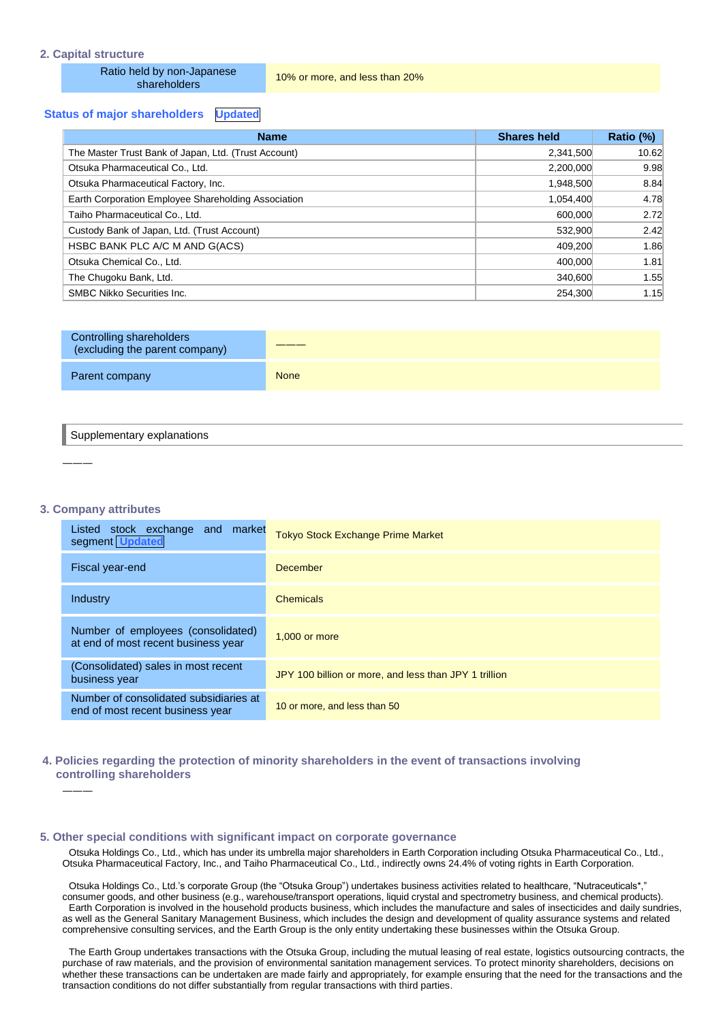## **2. Capital structure**

Ratio held by non-Japanese

10% or more, and less than 20%

# **Status of major shareholders Updated**

| <b>Name</b>                                          | <b>Shares held</b> | Ratio (%) |
|------------------------------------------------------|--------------------|-----------|
| The Master Trust Bank of Japan, Ltd. (Trust Account) | 2,341,500          | 10.62     |
| Otsuka Pharmaceutical Co., Ltd.                      | 2,200,000          | 9.98      |
| Otsuka Pharmaceutical Factory, Inc.                  | 1,948,500          | 8.84      |
| Earth Corporation Employee Shareholding Association  | 1,054,400          | 4.78      |
| Taiho Pharmaceutical Co., Ltd.                       | 600,000            | 2.72      |
| Custody Bank of Japan, Ltd. (Trust Account)          | 532,900            | 2.42      |
| HSBC BANK PLC A/C M AND G(ACS)                       | 409.200            | 1.86      |
| Otsuka Chemical Co., Ltd.                            | 400,000            | 1.81      |
| The Chugoku Bank, Ltd.                               | 340,600            | 1.55      |
| <b>SMBC Nikko Securities Inc.</b>                    | 254.300            | 1.15      |

| Controlling shareholders<br>(excluding the parent company) |             |
|------------------------------------------------------------|-------------|
| Parent company                                             | <b>None</b> |

#### Supplementary explanations

**3. Company attributes**

―――

―――

| Listed stock exchange<br>market<br>and<br>segment Updated                  | <b>Tokyo Stock Exchange Prime Market</b>              |
|----------------------------------------------------------------------------|-------------------------------------------------------|
| Fiscal year-end                                                            | <b>December</b>                                       |
| Industry                                                                   | <b>Chemicals</b>                                      |
| Number of employees (consolidated)<br>at end of most recent business year  | 1,000 or more                                         |
| (Consolidated) sales in most recent<br>business year                       | JPY 100 billion or more, and less than JPY 1 trillion |
| Number of consolidated subsidiaries at<br>end of most recent business year | 10 or more, and less than 50                          |

# **4. Policies regarding the protection of minority shareholders in the event of transactions involving controlling shareholders**

#### **5. Other special conditions with significant impact on corporate governance**

Otsuka Holdings Co., Ltd., which has under its umbrella major shareholders in Earth Corporation including Otsuka Pharmaceutical Co., Ltd., Otsuka Pharmaceutical Factory, Inc., and Taiho Pharmaceutical Co., Ltd., indirectly owns 24.4% of voting rights in Earth Corporation.

Otsuka Holdings Co., Ltd.'s corporate Group (the "Otsuka Group") undertakes business activities related to healthcare, "Nutraceuticals\*, consumer goods, and other business (e.g., warehouse/transport operations, liquid crystal and spectrometry business, and chemical products). Earth Corporation is involved in the household products business, which includes the manufacture and sales of insecticides and daily sundries, as well as the General Sanitary Management Business, which includes the design and development of quality assurance systems and related comprehensive consulting services, and the Earth Group is the only entity undertaking these businesses within the Otsuka Group.

The Earth Group undertakes transactions with the Otsuka Group, including the mutual leasing of real estate, logistics outsourcing contracts, the purchase of raw materials, and the provision of environmental sanitation management services. To protect minority shareholders, decisions on whether these transactions can be undertaken are made fairly and appropriately, for example ensuring that the need for the transactions and the transaction conditions do not differ substantially from regular transactions with third parties.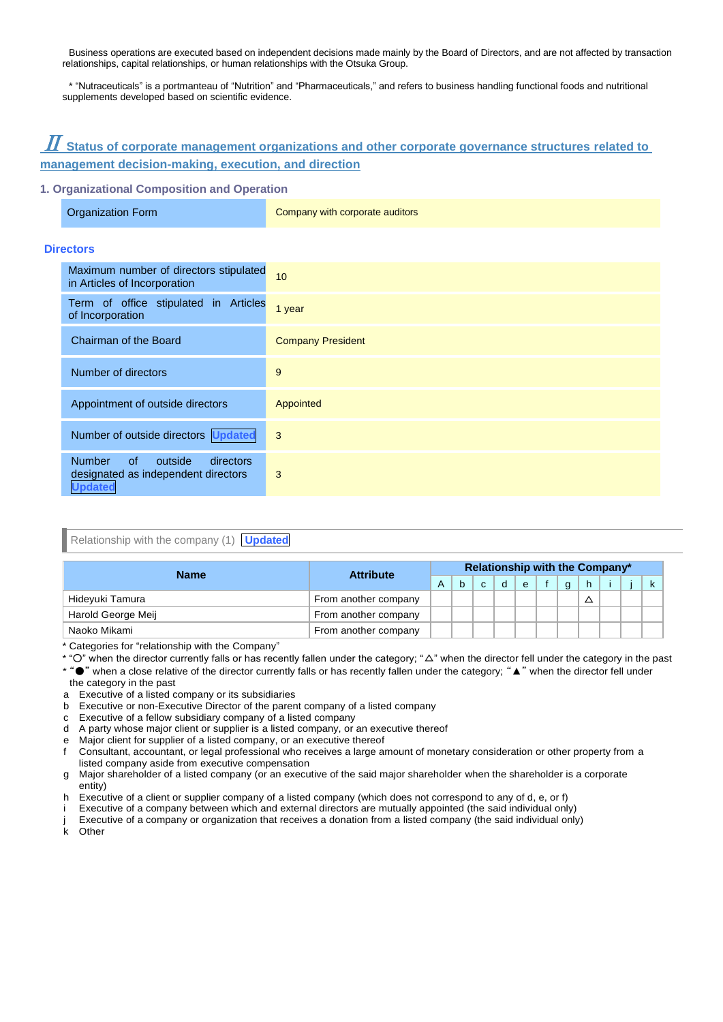Business operations are executed based on independent decisions made mainly by the Board of Directors, and are not affected by transaction relationships, capital relationships, or human relationships with the Otsuka Group.

\* "Nutraceuticals" is a portmanteau of "Nutrition" and "Pharmaceuticals," and refers to business handling functional foods and nutritional supplements developed based on scientific evidence.

# $\boldsymbol{\varPi}$  Status of corpor<u>ate management organizations and other corporate governance structures related to </u> **management decision-making, execution, and direction**

# **1. Organizational Composition and Operation**

| <b>Organization Form</b> |  |
|--------------------------|--|
|                          |  |

Company with corporate auditors

# **Directors**

| Maximum number of directors stipulated<br>in Articles of Incorporation                                      | 10                       |
|-------------------------------------------------------------------------------------------------------------|--------------------------|
| Term of office stipulated in Articles<br>of Incorporation                                                   | 1 year                   |
| Chairman of the Board                                                                                       | <b>Company President</b> |
| Number of directors                                                                                         | 9                        |
| Appointment of outside directors                                                                            | Appointed                |
| Number of outside directors Updated                                                                         | 3                        |
| <b>Number</b><br>$\circ$ f<br>outside<br>directors<br>designated as independent directors<br><b>Updated</b> | 3                        |

# Relationship with the company (1) **Updated**

| <b>Name</b>        | <b>Attribute</b>     |   | Relationship with the Company* |              |   |   |  |          |    |  |  |
|--------------------|----------------------|---|--------------------------------|--------------|---|---|--|----------|----|--|--|
|                    |                      | A |                                | $\mathbf{C}$ | d | e |  | $\alpha$ | h. |  |  |
| Hideyuki Tamura    | From another company |   |                                |              |   |   |  |          |    |  |  |
| Harold George Meij | From another company |   |                                |              |   |   |  |          |    |  |  |
| Naoko Mikami       | From another company |   |                                |              |   |   |  |          |    |  |  |

\* Categories for "relationship with the Company"

\* "○" when the director currently falls or has recently fallen under the category; "△" when the director fell under the category in the past

\* "●" when a close relative of the director currently falls or has recently fallen under the category; "▲" when the director fell under

the category in the past

a Executive of a listed company or its subsidiaries

- b Executive or non-Executive Director of the parent company of a listed company
- c Executive of a fellow subsidiary company of a listed company
- d A party whose major client or supplier is a listed company, or an executive thereof
- e Major client for supplier of a listed company, or an executive thereof
- f Consultant, accountant, or legal professional who receives a large amount of monetary consideration or other property from a listed company aside from executive compensation
- g Major shareholder of a listed company (or an executive of the said major shareholder when the shareholder is a corporate entity)
- h Executive of a client or supplier company of a listed company (which does not correspond to any of d, e, or f)
- Executive of a company between which and external directors are mutually appointed (the said individual only)
- j Executive of a company or organization that receives a donation from a listed company (the said individual only) k Other

Other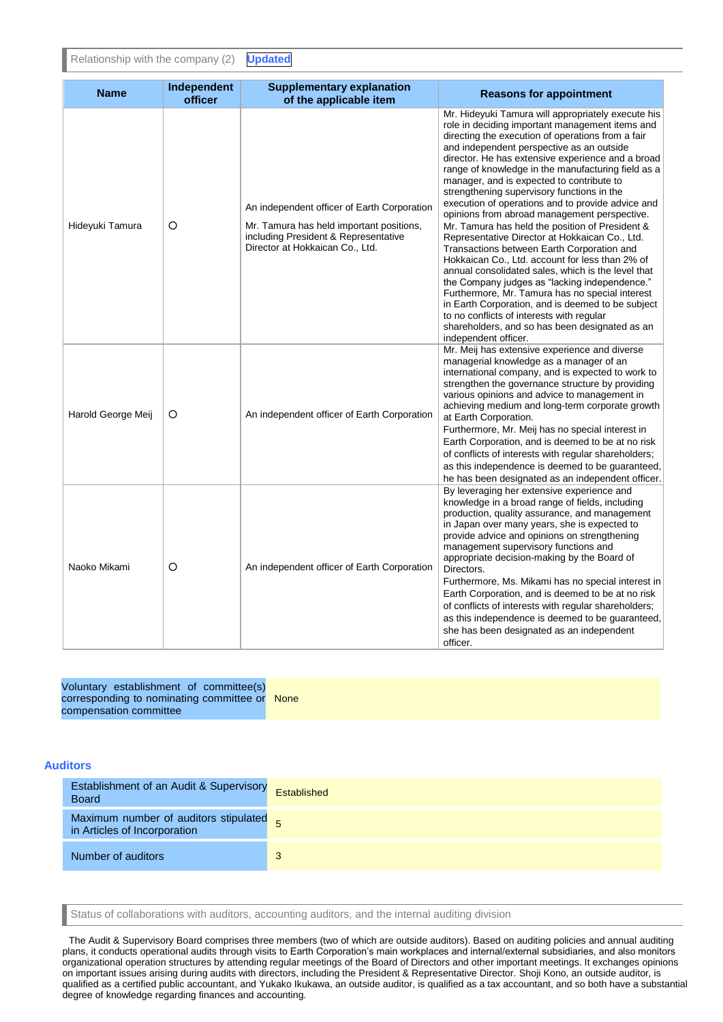Relationship with the company (2) **Updated**

| <b>Name</b>        | Independent<br>officer | <b>Supplementary explanation</b><br>of the applicable item                                                                                                         | <b>Reasons for appointment</b>                                                                                                                                                                                                                                                                                                                                                                                                                                                                                                                                                                                                                                                                                                                                                                                                                                                                                                                                                                                                                                 |
|--------------------|------------------------|--------------------------------------------------------------------------------------------------------------------------------------------------------------------|----------------------------------------------------------------------------------------------------------------------------------------------------------------------------------------------------------------------------------------------------------------------------------------------------------------------------------------------------------------------------------------------------------------------------------------------------------------------------------------------------------------------------------------------------------------------------------------------------------------------------------------------------------------------------------------------------------------------------------------------------------------------------------------------------------------------------------------------------------------------------------------------------------------------------------------------------------------------------------------------------------------------------------------------------------------|
| Hideyuki Tamura    | O                      | An independent officer of Earth Corporation<br>Mr. Tamura has held important positions,<br>including President & Representative<br>Director at Hokkaican Co., Ltd. | Mr. Hideyuki Tamura will appropriately execute his<br>role in deciding important management items and<br>directing the execution of operations from a fair<br>and independent perspective as an outside<br>director. He has extensive experience and a broad<br>range of knowledge in the manufacturing field as a<br>manager, and is expected to contribute to<br>strengthening supervisory functions in the<br>execution of operations and to provide advice and<br>opinions from abroad management perspective.<br>Mr. Tamura has held the position of President &<br>Representative Director at Hokkaican Co., Ltd.<br>Transactions between Earth Corporation and<br>Hokkaican Co., Ltd. account for less than 2% of<br>annual consolidated sales, which is the level that<br>the Company judges as "lacking independence."<br>Furthermore, Mr. Tamura has no special interest<br>in Earth Corporation, and is deemed to be subject<br>to no conflicts of interests with regular<br>shareholders, and so has been designated as an<br>independent officer. |
| Harold George Meij | O                      | An independent officer of Earth Corporation                                                                                                                        | Mr. Meij has extensive experience and diverse<br>managerial knowledge as a manager of an<br>international company, and is expected to work to<br>strengthen the governance structure by providing<br>various opinions and advice to management in<br>achieving medium and long-term corporate growth<br>at Earth Corporation.<br>Furthermore, Mr. Meij has no special interest in<br>Earth Corporation, and is deemed to be at no risk<br>of conflicts of interests with regular shareholders;<br>as this independence is deemed to be quaranteed.<br>he has been designated as an independent officer.                                                                                                                                                                                                                                                                                                                                                                                                                                                        |
| Naoko Mikami       | O                      | An independent officer of Earth Corporation                                                                                                                        | By leveraging her extensive experience and<br>knowledge in a broad range of fields, including<br>production, quality assurance, and management<br>in Japan over many years, she is expected to<br>provide advice and opinions on strengthening<br>management supervisory functions and<br>appropriate decision-making by the Board of<br>Directors.<br>Furthermore, Ms. Mikami has no special interest in<br>Earth Corporation, and is deemed to be at no risk<br>of conflicts of interests with regular shareholders;<br>as this independence is deemed to be quaranteed.<br>she has been designated as an independent<br>officer.                                                                                                                                                                                                                                                                                                                                                                                                                            |

| Voluntary establishment of committee(s)       |  |
|-----------------------------------------------|--|
| corresponding to nominating committee or None |  |
| compensation committee                        |  |

# **Auditors**

| Establishment of an Audit & Supervisory Established<br><b>Board</b>   |   |
|-----------------------------------------------------------------------|---|
| Maximum number of auditors stipulated<br>in Articles of Incorporation |   |
| Number of auditors                                                    | 3 |

Status of collaborations with auditors, accounting auditors, and the internal auditing division

The Audit & Supervisory Board comprises three members (two of which are outside auditors). Based on auditing policies and annual auditing plans, it conducts operational audits through visits to Earth Corporation's main workplaces and internal/external subsidiaries, and also monitors organizational operation structures by attending regular meetings of the Board of Directors and other important meetings. It exchanges opinions on important issues arising during audits with directors, including the President & Representative Director. Shoji Kono, an outside auditor, is qualified as a certified public accountant, and Yukako Ikukawa, an outside auditor, is qualified as a tax accountant, and so both have a substantial degree of knowledge regarding finances and accounting.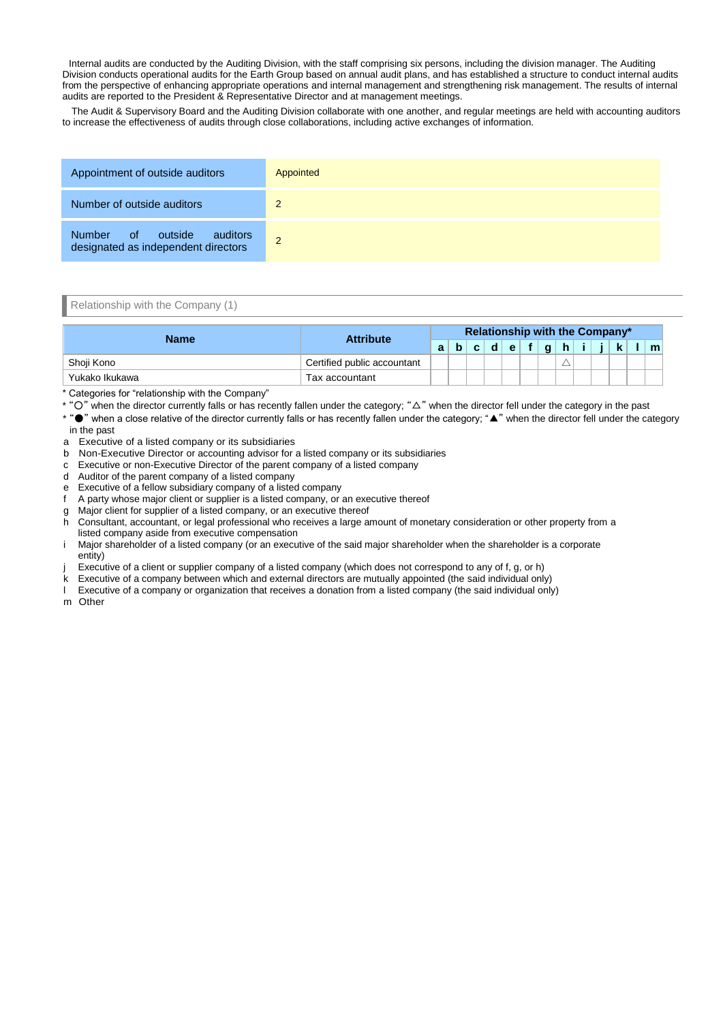Internal audits are conducted by the Auditing Division, with the staff comprising six persons, including the division manager. The Auditing Division conducts operational audits for the Earth Group based on annual audit plans, and has established a structure to conduct internal audits from the perspective of enhancing appropriate operations and internal management and strengthening risk management. The results of internal audits are reported to the President & Representative Director and at management meetings.

The Audit & Supervisory Board and the Auditing Division collaborate with one another, and regular meetings are held with accounting auditors to increase the effectiveness of audits through close collaborations, including active exchanges of information.

| Appointment of outside auditors                                      | Appointed      |
|----------------------------------------------------------------------|----------------|
| Number of outside auditors                                           | 2              |
| Number of outside<br>auditors<br>designated as independent directors | $\overline{2}$ |

Relationship with the Company (1)

| <b>Name</b>    | <b>Attribute</b>            |   | <b>Relationship with the Company*</b> |    |   |   |  |              |   |  |  |   |
|----------------|-----------------------------|---|---------------------------------------|----|---|---|--|--------------|---|--|--|---|
|                |                             | а |                                       | c. | d | e |  | $\mathbf{a}$ | h |  |  | m |
| Shoii Kono     | Certified public accountant |   |                                       |    |   |   |  |              |   |  |  |   |
| Yukako Ikukawa | Tax accountant              |   |                                       |    |   |   |  |              |   |  |  |   |

\* Categories for "relationship with the Company"

\* "○" when the director currently falls or has recently fallen under the category; "△" when the director fell under the category in the past

\* "●" when a close relative of the director currently falls or has recently fallen under the category; "▲" when the director fell under the category in the past

- a Executive of a listed company or its subsidiaries
- b Non-Executive Director or accounting advisor for a listed company or its subsidiaries
- c Executive or non-Executive Director of the parent company of a listed company
- d Auditor of the parent company of a listed company
- e Executive of a fellow subsidiary company of a listed company
- f A party whose major client or supplier is a listed company, or an executive thereof
- g Major client for supplier of a listed company, or an executive thereof
- h Consultant, accountant, or legal professional who receives a large amount of monetary consideration or other property from a listed company aside from executive compensation
- i Major shareholder of a listed company (or an executive of the said major shareholder when the shareholder is a corporate entity)
- Executive of a client or supplier company of a listed company (which does not correspond to any of f, g, or h)
- k Executive of a company between which and external directors are mutually appointed (the said individual only)
- l Executive of a company or organization that receives a donation from a listed company (the said individual only)

m Other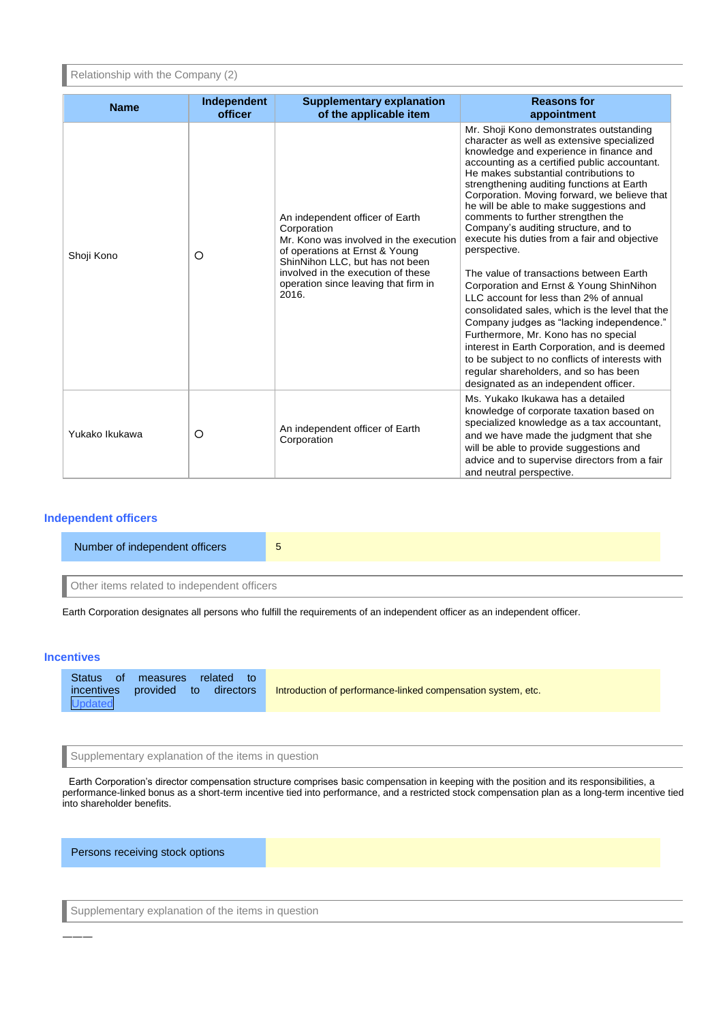Relationship with the Company (2)

| <b>Name</b>    | <b>Independent</b><br>officer | <b>Supplementary explanation</b><br>of the applicable item                                                                                                                                                                                           | <b>Reasons for</b><br>appointment                                                                                                                                                                                                                                                                                                                                                                                                                                                                                                                                                                                                                                                                                                                                                                                                                                                                                                                                            |
|----------------|-------------------------------|------------------------------------------------------------------------------------------------------------------------------------------------------------------------------------------------------------------------------------------------------|------------------------------------------------------------------------------------------------------------------------------------------------------------------------------------------------------------------------------------------------------------------------------------------------------------------------------------------------------------------------------------------------------------------------------------------------------------------------------------------------------------------------------------------------------------------------------------------------------------------------------------------------------------------------------------------------------------------------------------------------------------------------------------------------------------------------------------------------------------------------------------------------------------------------------------------------------------------------------|
| Shoji Kono     | O                             | An independent officer of Earth<br>Corporation<br>Mr. Kono was involved in the execution<br>of operations at Ernst & Young<br>ShinNihon LLC, but has not been<br>involved in the execution of these<br>operation since leaving that firm in<br>2016. | Mr. Shoji Kono demonstrates outstanding<br>character as well as extensive specialized<br>knowledge and experience in finance and<br>accounting as a certified public accountant.<br>He makes substantial contributions to<br>strengthening auditing functions at Earth<br>Corporation. Moving forward, we believe that<br>he will be able to make suggestions and<br>comments to further strengthen the<br>Company's auditing structure, and to<br>execute his duties from a fair and objective<br>perspective.<br>The value of transactions between Earth<br>Corporation and Ernst & Young ShinNihon<br>LLC account for less than 2% of annual<br>consolidated sales, which is the level that the<br>Company judges as "lacking independence."<br>Furthermore, Mr. Kono has no special<br>interest in Earth Corporation, and is deemed<br>to be subject to no conflicts of interests with<br>regular shareholders, and so has been<br>designated as an independent officer. |
| Yukako Ikukawa | O                             | An independent officer of Earth<br>Corporation                                                                                                                                                                                                       | Ms. Yukako Ikukawa has a detailed<br>knowledge of corporate taxation based on<br>specialized knowledge as a tax accountant,<br>and we have made the judgment that she<br>will be able to provide suggestions and<br>advice and to supervise directors from a fair<br>and neutral perspective.                                                                                                                                                                                                                                                                                                                                                                                                                                                                                                                                                                                                                                                                                |

# **Independent officers**

| Number of independent officers              | Э |
|---------------------------------------------|---|
|                                             |   |
| Other items related to independent officers |   |

Earth Corporation designates all persons who fulfill the requirements of an independent officer as an independent officer.

# **Incentives**

―――

| <b>Status</b> | of measures related<br>incentives provided to directors | Introduction of performance-linked compensation system, etc. |
|---------------|---------------------------------------------------------|--------------------------------------------------------------|
| Updated       |                                                         |                                                              |

Supplementary explanation of the items in question

Earth Corporation's director compensation structure comprises basic compensation in keeping with the position and its responsibilities, a performance-linked bonus as a short-term incentive tied into performance, and a restricted stock compensation plan as a long-term incentive tied into shareholder benefits.

Persons receiving stock options

Supplementary explanation of the items in question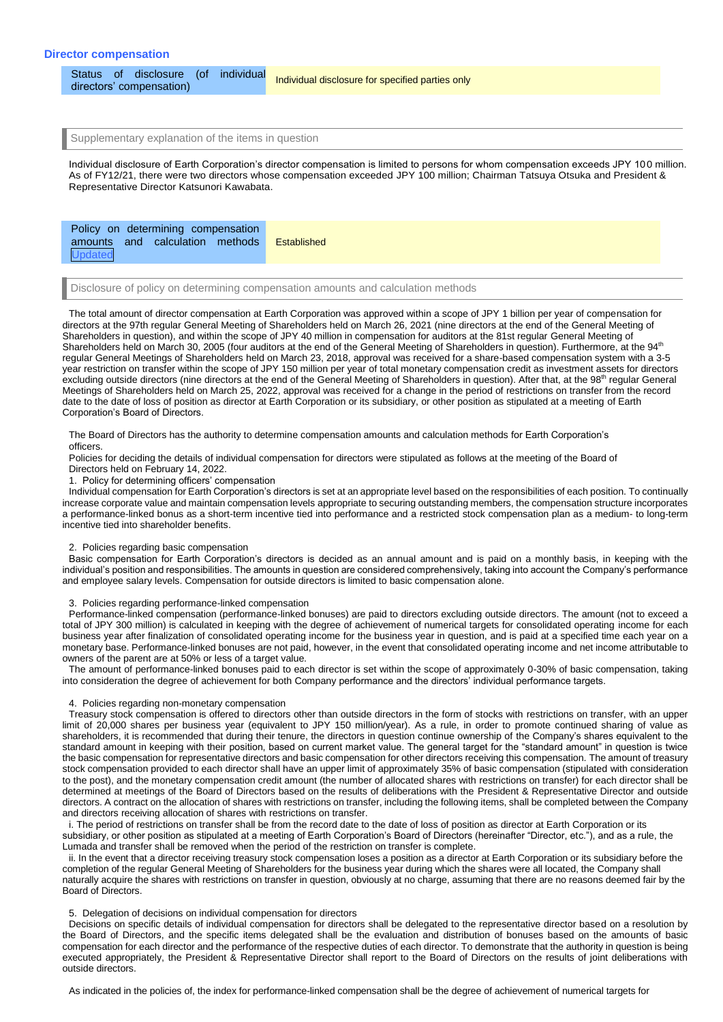Status of disclosure (of individual<br>directors' compensation) Individual disclosure for specified parties only

Supplementary explanation of the items in question

Individual disclosure of Earth Corporation's director compensation is limited to persons for whom compensation exceeds JPY 100 million. As of FY12/21, there were two directors whose compensation exceeded JPY 100 million; Chairman Tatsuya Otsuka and President & Representative Director Katsunori Kawabata.

|--|

Disclosure of policy on determining compensation amounts and calculation methods

The total amount of director compensation at Earth Corporation was approved within a scope of JPY 1 billion per year of compensation for directors at the 97th regular General Meeting of Shareholders held on March 26, 2021 (nine directors at the end of the General Meeting of Shareholders in question), and within the scope of JPY 40 million in compensation for auditors at the 81st regular General Meeting of Shareholders held on March 30, 2005 (four auditors at the end of the General Meeting of Shareholders in question). Furthermore, at the 94<sup>th</sup> regular General Meetings of Shareholders held on March 23, 2018, approval was received for a share-based compensation system with a 3-5 year restriction on transfer within the scope of JPY 150 million per year of total monetary compensation credit as investment assets for directors excluding outside directors (nine directors at the end of the General Meeting of Shareholders in question). After that, at the 98<sup>th</sup> regular General Meetings of Shareholders held on March 25, 2022, approval was received for a change in the period of restrictions on transfer from the record date to the date of loss of position as director at Earth Corporation or its subsidiary, or other position as stipulated at a meeting of Earth Corporation's Board of Directors.

The Board of Directors has the authority to determine compensation amounts and calculation methods for Earth Corporation's officers.

Policies for deciding the details of individual compensation for directors were stipulated as follows at the meeting of the Board of Directors held on February 14, 2022.

1. Policy for determining officers' compensation

Individual compensation for Earth Corporation's directors is set at an appropriate level based on the responsibilities of each position. To continually increase corporate value and maintain compensation levels appropriate to securing outstanding members, the compensation structure incorporates a performance-linked bonus as a short-term incentive tied into performance and a restricted stock compensation plan as a medium- to long-term incentive tied into shareholder benefits.

#### 2. Policies regarding basic compensation

Basic compensation for Earth Corporation's directors is decided as an annual amount and is paid on a monthly basis, in keeping with the individual's position and responsibilities. The amounts in question are considered comprehensively, taking into account the Company's performance and employee salary levels. Compensation for outside directors is limited to basic compensation alone.

3. Policies regarding performance-linked compensation

Performance-linked compensation (performance-linked bonuses) are paid to directors excluding outside directors. The amount (not to exceed a total of JPY 300 million) is calculated in keeping with the degree of achievement of numerical targets for consolidated operating income for each business year after finalization of consolidated operating income for the business year in question, and is paid at a specified time each year on a monetary base. Performance-linked bonuses are not paid, however, in the event that consolidated operating income and net income attributable to owners of the parent are at 50% or less of a target value.

The amount of performance-linked bonuses paid to each director is set within the scope of approximately 0-30% of basic compensation, taking into consideration the degree of achievement for both Company performance and the directors' individual performance targets.

#### 4. Policies regarding non-monetary compensation

Treasury stock compensation is offered to directors other than outside directors in the form of stocks with restrictions on transfer, with an upper limit of 20,000 shares per business year (equivalent to JPY 150 million/year). As a rule, in order to promote continued sharing of value as shareholders, it is recommended that during their tenure, the directors in question continue ownership of the Company's shares equivalent to the standard amount in keeping with their position, based on current market value. The general target for the "standard amount" in question is twice the basic compensation for representative directors and basic compensation for other directors receiving this compensation. The amount of treasury stock compensation provided to each director shall have an upper limit of approximately 35% of basic compensation (stipulated with consideration to the post), and the monetary compensation credit amount (the number of allocated shares with restrictions on transfer) for each director shall be determined at meetings of the Board of Directors based on the results of deliberations with the President & Representative Director and outside directors. A contract on the allocation of shares with restrictions on transfer, including the following items, shall be completed between the Company and directors receiving allocation of shares with restrictions on transfer.

i. The period of restrictions on transfer shall be from the record date to the date of loss of position as director at Earth Corporation or its subsidiary, or other position as stipulated at a meeting of Earth Corporation's Board of Directors (hereinafter "Director, etc."), and as a rule, the Lumada and transfer shall be removed when the period of the restriction on transfer is complete.

ii. In the event that a director receiving treasury stock compensation loses a position as a director at Earth Corporation or its subsidiary before the completion of the regular General Meeting of Shareholders for the business year during which the shares were all located, the Company shall naturally acquire the shares with restrictions on transfer in question, obviously at no charge, assuming that there are no reasons deemed fair by the Board of Directors.

#### 5. Delegation of decisions on individual compensation for directors

Decisions on specific details of individual compensation for directors shall be delegated to the representative director based on a resolution by the Board of Directors, and the specific items delegated shall be the evaluation and distribution of bonuses based on the amounts of basic compensation for each director and the performance of the respective duties of each director. To demonstrate that the authority in question is being executed appropriately, the President & Representative Director shall report to the Board of Directors on the results of joint deliberations with outside directors.

As indicated in the policies of, the index for performance-linked compensation shall be the degree of achievement of numerical targets for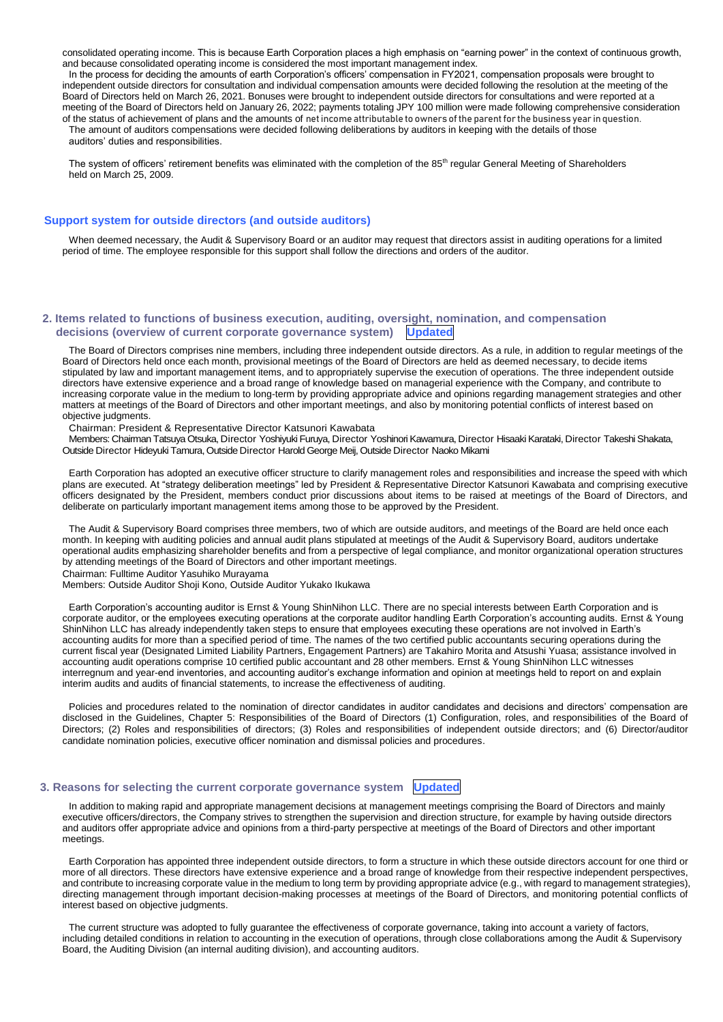consolidated operating income. This is because Earth Corporation places a high emphasis on "earning power" in the context of continuous growth, and because consolidated operating income is considered the most important management index.

In the process for deciding the amounts of earth Corporation's officers' compensation in FY2021, compensation proposals were brought to independent outside directors for consultation and individual compensation amounts were decided following the resolution at the meeting of the Board of Directors held on March 26, 2021. Bonuses were brought to independent outside directors for consultations and were reported at a meeting of the Board of Directors held on January 26, 2022; payments totaling JPY 100 million were made following comprehensive consideration of the status of achievement of plans and the amounts of net income attributable to owners of the parent for the business year in question. The amount of auditors compensations were decided following deliberations by auditors in keeping with the details of those auditors' duties and responsibilities.

The system of officers' retirement benefits was eliminated with the completion of the 85<sup>th</sup> regular General Meeting of Shareholders held on March 25, 2009.

## **Support system for outside directors (and outside auditors)**

When deemed necessary, the Audit & Supervisory Board or an auditor may request that directors assist in auditing operations for a limited period of time. The employee responsible for this support shall follow the directions and orders of the auditor.

# **2. Items related to functions of business execution, auditing, oversight, nomination, and compensation decisions (overview of current corporate governance system) Updated**

The Board of Directors comprises nine members, including three independent outside directors. As a rule, in addition to regular meetings of the Board of Directors held once each month, provisional meetings of the Board of Directors are held as deemed necessary, to decide items stipulated by law and important management items, and to appropriately supervise the execution of operations. The three independent outside directors have extensive experience and a broad range of knowledge based on managerial experience with the Company, and contribute to increasing corporate value in the medium to long-term by providing appropriate advice and opinions regarding management strategies and other matters at meetings of the Board of Directors and other important meetings, and also by monitoring potential conflicts of interest based on objective judgments.

Chairman: President & Representative Director Katsunori Kawabata

Members: Chairman Tatsuya Otsuka, Director Yoshiyuki Furuya, Director Yoshinori Kawamura, Director Hisaaki Karataki, Director Takeshi Shakata, Outside Director Hideyuki Tamura,Outside Director Harold George Meij,Outside Director Naoko Mikami

Earth Corporation has adopted an executive officer structure to clarify management roles and responsibilities and increase the speed with which plans are executed. At "strategy deliberation meetings" led by President & Representative Director Katsunori Kawabata and comprising executive officers designated by the President, members conduct prior discussions about items to be raised at meetings of the Board of Directors, and deliberate on particularly important management items among those to be approved by the President.

The Audit & Supervisory Board comprises three members, two of which are outside auditors, and meetings of the Board are held once each month. In keeping with auditing policies and annual audit plans stipulated at meetings of the Audit & Supervisory Board, auditors undertake operational audits emphasizing shareholder benefits and from a perspective of legal compliance, and monitor organizational operation structures by attending meetings of the Board of Directors and other important meetings.

Chairman: Fulltime Auditor Yasuhiko Murayama

Members: Outside Auditor Shoji Kono, Outside Auditor Yukako Ikukawa

Earth Corporation's accounting auditor is Ernst & Young ShinNihon LLC. There are no special interests between Earth Corporation and is corporate auditor, or the employees executing operations at the corporate auditor handling Earth Corporation's accounting audits. Ernst & Young ShinNihon LLC has already independently taken steps to ensure that employees executing these operations are not involved in Earth's accounting audits for more than a specified period of time. The names of the two certified public accountants securing operations during the current fiscal year (Designated Limited Liability Partners, Engagement Partners) are Takahiro Morita and Atsushi Yuasa; assistance involved in accounting audit operations comprise 10 certified public accountant and 28 other members. Ernst & Young ShinNihon LLC witnesses interregnum and year-end inventories, and accounting auditor's exchange information and opinion at meetings held to report on and explain interim audits and audits of financial statements, to increase the effectiveness of auditing.

Policies and procedures related to the nomination of director candidates in auditor candidates and decisions and directors' compensation are disclosed in the Guidelines, Chapter 5: Responsibilities of the Board of Directors (1) Configuration, roles, and responsibilities of the Board of Directors; (2) Roles and responsibilities of directors; (3) Roles and responsibilities of independent outside directors; and (6) Director/auditor candidate nomination policies, executive officer nomination and dismissal policies and procedures.

### **3. Reasons for selecting the current corporate governance system Updated**

In addition to making rapid and appropriate management decisions at management meetings comprising the Board of Directors and mainly executive officers/directors, the Company strives to strengthen the supervision and direction structure, for example by having outside directors and auditors offer appropriate advice and opinions from a third-party perspective at meetings of the Board of Directors and other important meetings.

Earth Corporation has appointed three independent outside directors, to form a structure in which these outside directors account for one third or more of all directors. These directors have extensive experience and a broad range of knowledge from their respective independent perspectives, and contribute to increasing corporate value in the medium to long term by providing appropriate advice (e.g., with regard to management strategies), directing management through important decision-making processes at meetings of the Board of Directors, and monitoring potential conflicts of interest based on objective judgments.

The current structure was adopted to fully guarantee the effectiveness of corporate governance, taking into account a variety of factors, including detailed conditions in relation to accounting in the execution of operations, through close collaborations among the Audit & Supervisory Board, the Auditing Division (an internal auditing division), and accounting auditors.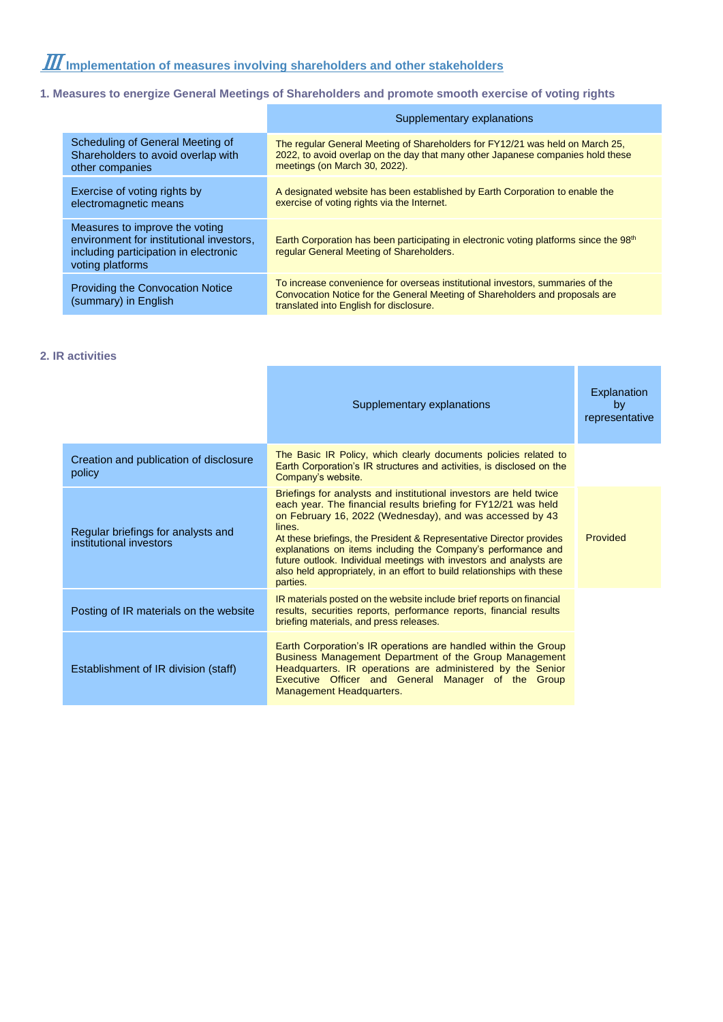# **1. Measures to energize General Meetings of Shareholders and promote smooth exercise of voting rights**

|                                                                                                                                         | Supplementary explanations                                                                                                                                                                                |
|-----------------------------------------------------------------------------------------------------------------------------------------|-----------------------------------------------------------------------------------------------------------------------------------------------------------------------------------------------------------|
| Scheduling of General Meeting of<br>Shareholders to avoid overlap with<br>other companies                                               | The regular General Meeting of Shareholders for FY12/21 was held on March 25,<br>2022, to avoid overlap on the day that many other Japanese companies hold these<br>meetings (on March 30, 2022).         |
| Exercise of voting rights by<br>electromagnetic means                                                                                   | A designated website has been established by Earth Corporation to enable the<br>exercise of voting rights via the Internet.                                                                               |
| Measures to improve the voting<br>environment for institutional investors,<br>including participation in electronic<br>voting platforms | Earth Corporation has been participating in electronic voting platforms since the 98 <sup>th</sup><br>regular General Meeting of Shareholders.                                                            |
| <b>Providing the Convocation Notice</b><br>(summary) in English                                                                         | To increase convenience for overseas institutional investors, summaries of the<br>Convocation Notice for the General Meeting of Shareholders and proposals are<br>translated into English for disclosure. |

# **2. IR activities**

|                                                               | Supplementary explanations                                                                                                                                                                                                                                                                                                                                                                                                                                                                                       | Explanation<br>by<br>representative |
|---------------------------------------------------------------|------------------------------------------------------------------------------------------------------------------------------------------------------------------------------------------------------------------------------------------------------------------------------------------------------------------------------------------------------------------------------------------------------------------------------------------------------------------------------------------------------------------|-------------------------------------|
| Creation and publication of disclosure<br>policy              | The Basic IR Policy, which clearly documents policies related to<br>Earth Corporation's IR structures and activities, is disclosed on the<br>Company's website.                                                                                                                                                                                                                                                                                                                                                  |                                     |
| Regular briefings for analysts and<br>institutional investors | Briefings for analysts and institutional investors are held twice<br>each year. The financial results briefing for FY12/21 was held<br>on February 16, 2022 (Wednesday), and was accessed by 43<br>lines.<br>At these briefings, the President & Representative Director provides<br>explanations on items including the Company's performance and<br>future outlook. Individual meetings with investors and analysts are<br>also held appropriately, in an effort to build relationships with these<br>parties. | Provided                            |
| Posting of IR materials on the website                        | IR materials posted on the website include brief reports on financial<br>results, securities reports, performance reports, financial results<br>briefing materials, and press releases.                                                                                                                                                                                                                                                                                                                          |                                     |
| Establishment of IR division (staff)                          | Earth Corporation's IR operations are handled within the Group<br>Business Management Department of the Group Management<br>Headquarters. IR operations are administered by the Senior<br>Executive Officer and General Manager of the Group<br>Management Headquarters.                                                                                                                                                                                                                                         |                                     |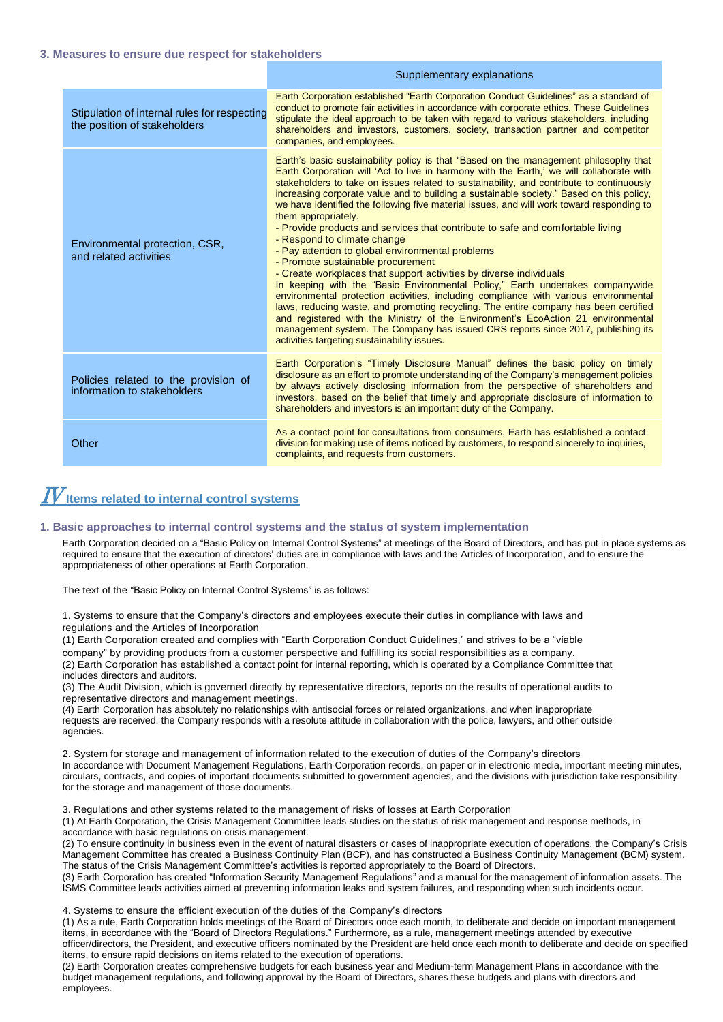# **3. Measures to ensure due respect for stakeholders**

|                                                                              | Supplementary explanations                                                                                                                                                                                                                                                                                                                                                                                                                                                                                                                                                                                                                                                                                                                                                                                                                                                                                                                                                                                                                                                                                                                                                                                                                                            |
|------------------------------------------------------------------------------|-----------------------------------------------------------------------------------------------------------------------------------------------------------------------------------------------------------------------------------------------------------------------------------------------------------------------------------------------------------------------------------------------------------------------------------------------------------------------------------------------------------------------------------------------------------------------------------------------------------------------------------------------------------------------------------------------------------------------------------------------------------------------------------------------------------------------------------------------------------------------------------------------------------------------------------------------------------------------------------------------------------------------------------------------------------------------------------------------------------------------------------------------------------------------------------------------------------------------------------------------------------------------|
| Stipulation of internal rules for respecting<br>the position of stakeholders | Earth Corporation established "Earth Corporation Conduct Guidelines" as a standard of<br>conduct to promote fair activities in accordance with corporate ethics. These Guidelines<br>stipulate the ideal approach to be taken with regard to various stakeholders, including<br>shareholders and investors, customers, society, transaction partner and competitor<br>companies, and employees.                                                                                                                                                                                                                                                                                                                                                                                                                                                                                                                                                                                                                                                                                                                                                                                                                                                                       |
| Environmental protection, CSR,<br>and related activities                     | Earth's basic sustainability policy is that "Based on the management philosophy that<br>Earth Corporation will 'Act to live in harmony with the Earth,' we will collaborate with<br>stakeholders to take on issues related to sustainability, and contribute to continuously<br>increasing corporate value and to building a sustainable society." Based on this policy,<br>we have identified the following five material issues, and will work toward responding to<br>them appropriately.<br>- Provide products and services that contribute to safe and comfortable living<br>- Respond to climate change<br>- Pay attention to global environmental problems<br>- Promote sustainable procurement<br>- Create workplaces that support activities by diverse individuals<br>In keeping with the "Basic Environmental Policy," Earth undertakes companywide<br>environmental protection activities, including compliance with various environmental<br>laws, reducing waste, and promoting recycling. The entire company has been certified<br>and registered with the Ministry of the Environment's EcoAction 21 environmental<br>management system. The Company has issued CRS reports since 2017, publishing its<br>activities targeting sustainability issues. |
| Policies related to the provision of<br>information to stakeholders          | Earth Corporation's "Timely Disclosure Manual" defines the basic policy on timely<br>disclosure as an effort to promote understanding of the Company's management policies<br>by always actively disclosing information from the perspective of shareholders and<br>investors, based on the belief that timely and appropriate disclosure of information to<br>shareholders and investors is an important duty of the Company.                                                                                                                                                                                                                                                                                                                                                                                                                                                                                                                                                                                                                                                                                                                                                                                                                                        |
| Other                                                                        | As a contact point for consultations from consumers, Earth has established a contact<br>division for making use of items noticed by customers, to respond sincerely to inquiries,<br>complaints, and requests from customers.                                                                                                                                                                                                                                                                                                                                                                                                                                                                                                                                                                                                                                                                                                                                                                                                                                                                                                                                                                                                                                         |

# $I\!V$ Items related to internal control systems

#### **1. Basic approaches to internal control systems and the status of system implementation**

Earth Corporation decided on a "Basic Policy on Internal Control Systems" at meetings of the Board of Directors, and has put in place systems as required to ensure that the execution of directors' duties are in compliance with laws and the Articles of Incorporation, and to ensure the appropriateness of other operations at Earth Corporation.

The text of the "Basic Policy on Internal Control Systems" is as follows:

1. Systems to ensure that the Company's directors and employees execute their duties in compliance with laws and regulations and the Articles of Incorporation

(1) Earth Corporation created and complies with "Earth Corporation Conduct Guidelines," and strives to be a "viable company" by providing products from a customer perspective and fulfilling its social responsibilities as a company. (2) Earth Corporation has established a contact point for internal reporting, which is operated by a Compliance Committee that includes directors and auditors.

(3) The Audit Division, which is governed directly by representative directors, reports on the results of operational audits to representative directors and management meetings.

(4) Earth Corporation has absolutely no relationships with antisocial forces or related organizations, and when inappropriate requests are received, the Company responds with a resolute attitude in collaboration with the police, lawyers, and other outside agencies.

2. System for storage and management of information related to the execution of duties of the Company's directors In accordance with Document Management Regulations, Earth Corporation records, on paper or in electronic media, important meeting minutes, circulars, contracts, and copies of important documents submitted to government agencies, and the divisions with jurisdiction take responsibility for the storage and management of those documents.

3. Regulations and other systems related to the management of risks of losses at Earth Corporation

(1) At Earth Corporation, the Crisis Management Committee leads studies on the status of risk management and response methods, in accordance with basic regulations on crisis management.

(2) To ensure continuity in business even in the event of natural disasters or cases of inappropriate execution of operations, the Company's Crisis Management Committee has created a Business Continuity Plan (BCP), and has constructed a Business Continuity Management (BCM) system. The status of the Crisis Management Committee's activities is reported appropriately to the Board of Directors.

(3) Earth Corporation has created "Information Security Management Regulations" and a manual for the management of information assets. The ISMS Committee leads activities aimed at preventing information leaks and system failures, and responding when such incidents occur.

4. Systems to ensure the efficient execution of the duties of the Company's directors

(1) As a rule, Earth Corporation holds meetings of the Board of Directors once each month, to deliberate and decide on important management items, in accordance with the "Board of Directors Regulations." Furthermore, as a rule, management meetings attended by executive officer/directors, the President, and executive officers nominated by the President are held once each month to deliberate and decide on specified items, to ensure rapid decisions on items related to the execution of operations.

(2) Earth Corporation creates comprehensive budgets for each business year and Medium-term Management Plans in accordance with the budget management regulations, and following approval by the Board of Directors, shares these budgets and plans with directors and employees.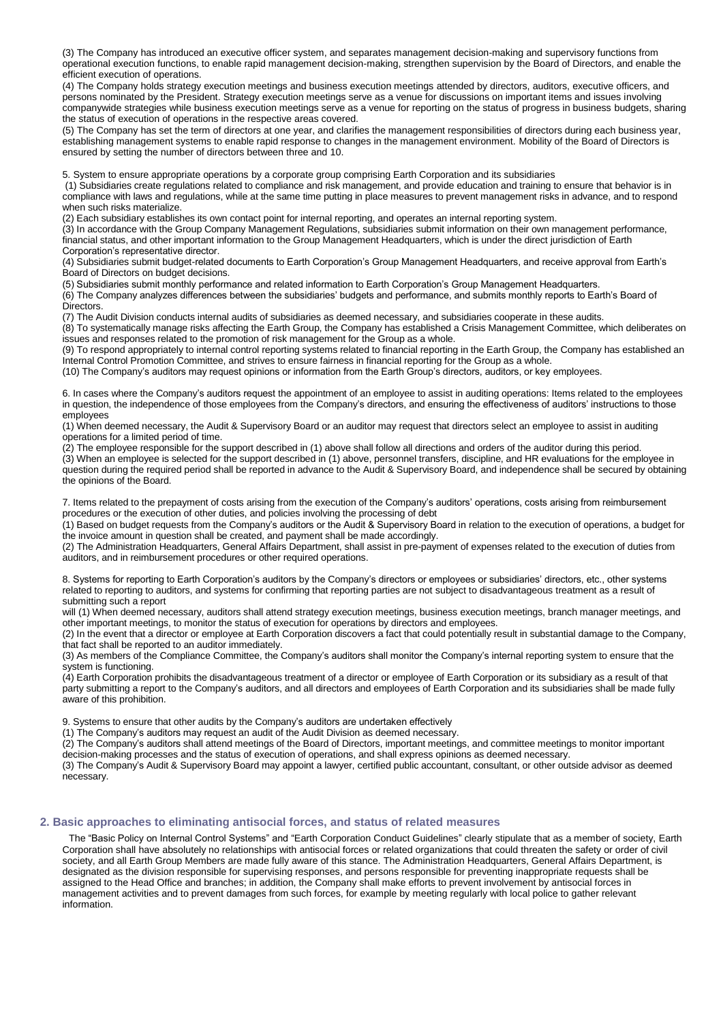(3) The Company has introduced an executive officer system, and separates management decision-making and supervisory functions from operational execution functions, to enable rapid management decision-making, strengthen supervision by the Board of Directors, and enable the efficient execution of operations.

(4) The Company holds strategy execution meetings and business execution meetings attended by directors, auditors, executive officers, and persons nominated by the President. Strategy execution meetings serve as a venue for discussions on important items and issues involving companywide strategies while business execution meetings serve as a venue for reporting on the status of progress in business budgets, sharing the status of execution of operations in the respective areas covered.

(5) The Company has set the term of directors at one year, and clarifies the management responsibilities of directors during each business year, establishing management systems to enable rapid response to changes in the management environment. Mobility of the Board of Directors is ensured by setting the number of directors between three and 10.

5. System to ensure appropriate operations by a corporate group comprising Earth Corporation and its subsidiaries

(1) Subsidiaries create regulations related to compliance and risk management, and provide education and training to ensure that behavior is in compliance with laws and regulations, while at the same time putting in place measures to prevent management risks in advance, and to respond when such risks materialize.

(2) Each subsidiary establishes its own contact point for internal reporting, and operates an internal reporting system.

(3) In accordance with the Group Company Management Regulations, subsidiaries submit information on their own management performance, financial status, and other important information to the Group Management Headquarters, which is under the direct jurisdiction of Earth Corporation's representative director.

(4) Subsidiaries submit budget-related documents to Earth Corporation's Group Management Headquarters, and receive approval from Earth's Board of Directors on budget decisions.

(5) Subsidiaries submit monthly performance and related information to Earth Corporation's Group Management Headquarters.

(6) The Company analyzes differences between the subsidiaries' budgets and performance, and submits monthly reports to Earth's Board of Directors.

(7) The Audit Division conducts internal audits of subsidiaries as deemed necessary, and subsidiaries cooperate in these audits. (8) To systematically manage risks affecting the Earth Group, the Company has established a Crisis Management Committee, which deliberates on

issues and responses related to the promotion of risk management for the Group as a whole.

(9) To respond appropriately to internal control reporting systems related to financial reporting in the Earth Group, the Company has established an Internal Control Promotion Committee, and strives to ensure fairness in financial reporting for the Group as a whole.

(10) The Company's auditors may request opinions or information from the Earth Group's directors, auditors, or key employees.

6. In cases where the Company's auditors request the appointment of an employee to assist in auditing operations: Items related to the employees in question, the independence of those employees from the Company's directors, and ensuring the effectiveness of auditors' instructions to those employees

(1) When deemed necessary, the Audit & Supervisory Board or an auditor may request that directors select an employee to assist in auditing operations for a limited period of time.

(2) The employee responsible for the support described in (1) above shall follow all directions and orders of the auditor during this period.

(3) When an employee is selected for the support described in (1) above, personnel transfers, discipline, and HR evaluations for the employee in question during the required period shall be reported in advance to the Audit & Supervisory Board, and independence shall be secured by obtaining the opinions of the Board.

7. Items related to the prepayment of costs arising from the execution of the Company's auditors' operations, costs arising from reimbursement procedures or the execution of other duties, and policies involving the processing of debt

(1) Based on budget requests from the Company's auditors or the Audit & Supervisory Board in relation to the execution of operations, a budget for the invoice amount in question shall be created, and payment shall be made accordingly.

(2) The Administration Headquarters, General Affairs Department, shall assist in pre-payment of expenses related to the execution of duties from auditors, and in reimbursement procedures or other required operations.

8. Systems for reporting to Earth Corporation's auditors by the Company's directors or employees or subsidiaries' directors, etc., other systems related to reporting to auditors, and systems for confirming that reporting parties are not subject to disadvantageous treatment as a result of submitting such a report

will (1) When deemed necessary, auditors shall attend strategy execution meetings, business execution meetings, branch manager meetings, and other important meetings, to monitor the status of execution for operations by directors and employees.

(2) In the event that a director or employee at Earth Corporation discovers a fact that could potentially result in substantial damage to the Company, that fact shall be reported to an auditor immediately.

(3) As members of the Compliance Committee, the Company's auditors shall monitor the Company's internal reporting system to ensure that the system is functioning.

(4) Earth Corporation prohibits the disadvantageous treatment of a director or employee of Earth Corporation or its subsidiary as a result of that party submitting a report to the Company's auditors, and all directors and employees of Earth Corporation and its subsidiaries shall be made fully aware of this prohibition.

9. Systems to ensure that other audits by the Company's auditors are undertaken effectively

(1) The Company's auditors may request an audit of the Audit Division as deemed necessary.

(2) The Company's auditors shall attend meetings of the Board of Directors, important meetings, and committee meetings to monitor important decision-making processes and the status of execution of operations, and shall express opinions as deemed necessary.

(3) The Company's Audit & Supervisory Board may appoint a lawyer, certified public accountant, consultant, or other outside advisor as deemed necessary.

# **2. Basic approaches to eliminating antisocial forces, and status of related measures**

The "Basic Policy on Internal Control Systems" and "Earth Corporation Conduct Guidelines" clearly stipulate that as a member of society, Earth Corporation shall have absolutely no relationships with antisocial forces or related organizations that could threaten the safety or order of civil society, and all Earth Group Members are made fully aware of this stance. The Administration Headquarters, General Affairs Department, is designated as the division responsible for supervising responses, and persons responsible for preventing inappropriate requests shall be assigned to the Head Office and branches; in addition, the Company shall make efforts to prevent involvement by antisocial forces in management activities and to prevent damages from such forces, for example by meeting regularly with local police to gather relevant information.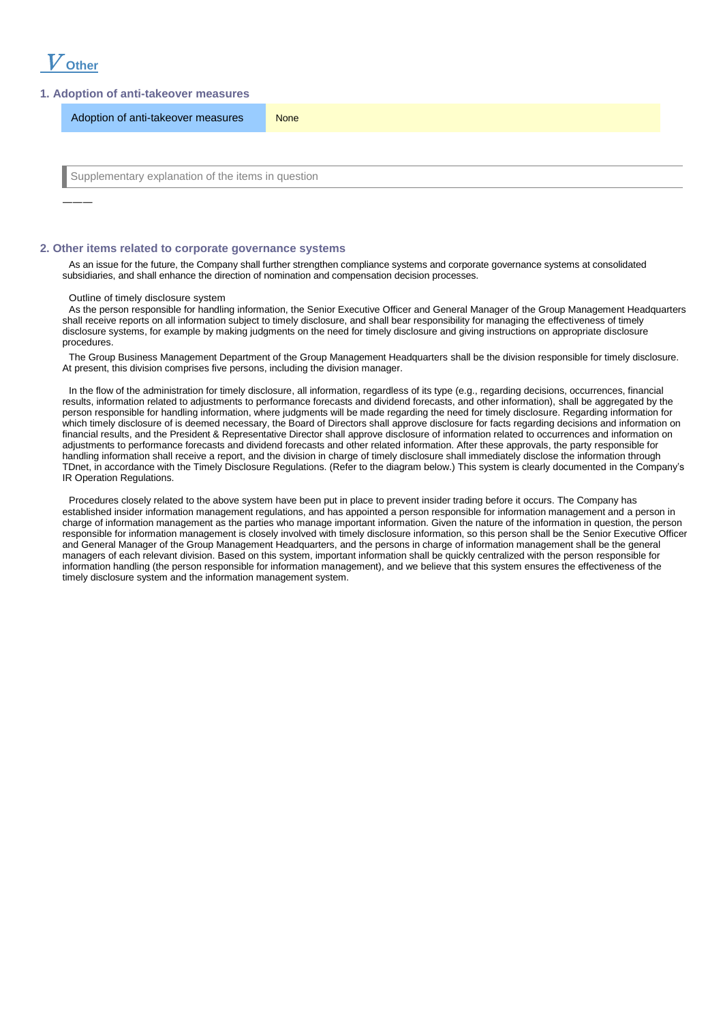

―――

# **1. Adoption of anti-takeover measures**

Adoption of anti-takeover measures None

Supplementary explanation of the items in question

## **2. Other items related to corporate governance systems**

As an issue for the future, the Company shall further strengthen compliance systems and corporate governance systems at consolidated subsidiaries, and shall enhance the direction of nomination and compensation decision processes.

#### Outline of timely disclosure system

As the person responsible for handling information, the Senior Executive Officer and General Manager of the Group Management Headquarters shall receive reports on all information subject to timely disclosure, and shall bear responsibility for managing the effectiveness of timely disclosure systems, for example by making judgments on the need for timely disclosure and giving instructions on appropriate disclosure procedures.

The Group Business Management Department of the Group Management Headquarters shall be the division responsible for timely disclosure. At present, this division comprises five persons, including the division manager.

In the flow of the administration for timely disclosure, all information, regardless of its type (e.g., regarding decisions, occurrences, financial results, information related to adjustments to performance forecasts and dividend forecasts, and other information), shall be aggregated by the person responsible for handling information, where judgments will be made regarding the need for timely disclosure. Regarding information for which timely disclosure of is deemed necessary, the Board of Directors shall approve disclosure for facts regarding decisions and information on financial results, and the President & Representative Director shall approve disclosure of information related to occurrences and information on adjustments to performance forecasts and dividend forecasts and other related information. After these approvals, the party responsible for handling information shall receive a report, and the division in charge of timely disclosure shall immediately disclose the information through TDnet, in accordance with the Timely Disclosure Regulations. (Refer to the diagram below.) This system is clearly documented in the Company's IR Operation Regulations.

Procedures closely related to the above system have been put in place to prevent insider trading before it occurs. The Company has established insider information management regulations, and has appointed a person responsible for information management and a person in charge of information management as the parties who manage important information. Given the nature of the information in question, the person responsible for information management is closely involved with timely disclosure information, so this person shall be the Senior Executive Officer and General Manager of the Group Management Headquarters, and the persons in charge of information management shall be the general managers of each relevant division. Based on this system, important information shall be quickly centralized with the person responsible for information handling (the person responsible for information management), and we believe that this system ensures the effectiveness of the timely disclosure system and the information management system.